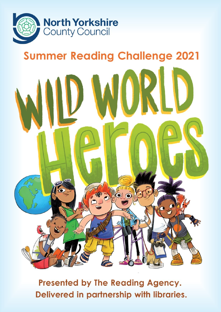

## **Summer Reading Challenge 2021**



Presented by The Reading Agency. Delivered in partnership with libraries.